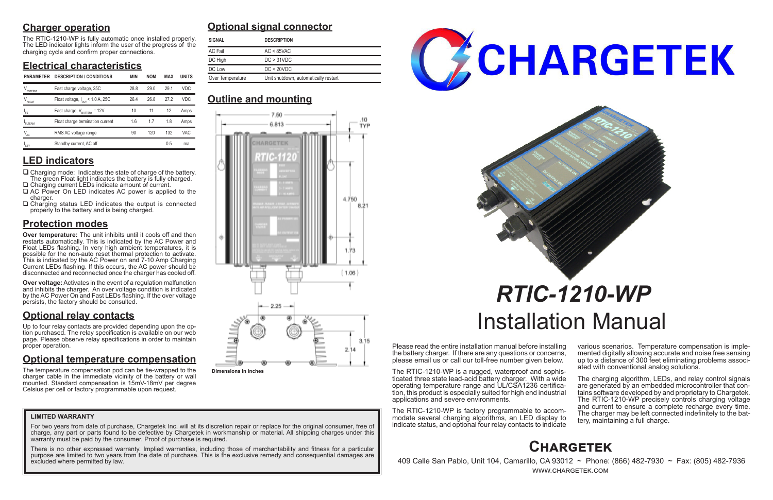# **Charger operation**

The RTIC-1210-WP is fully automatic once installed properly. The LED indicator lights inform the user of the progress of the charging cycle and confirm proper connections.

# **Electrical characteristics**

# **LED indicators**

- $\Box$  Charging mode: Indicates the state of charge of the battery. The green Float light indicates the battery is fully charged. □ Charging current LEDs indicate amount of current.
- □ AC Power On LED indicates AC power is applied to the charger.
- $\Box$  Charging status LED indicates the output is connected properly to the battery and is being charged.

# **Protection modes**

**Over temperature:** The unit inhibits until it cools off and then restarts automatically. This is indicated by the AC Power and Float LEDs flashing. In very high ambient temperatures, it is possible for the non-auto reset thermal protection to activate. This is indicated by the AC Power on and 7-10 Amp Charging Current LEDs flashing. If this occurs, the AC power should be disconnected and reconnected once the charger has cooled off.

**Over voltage:** Activates in the event of a regulation malfunction and inhibits the charger. An over voltage condition is indicated by the AC Power On and Fast LEDs flashing. If the over voltage persists, the factory should be consulted.

# **Optional relay contacts**

Up to four relay contacts are provided depending upon the option purchased. The relay specification is available on our web page. Please observe relay specifications in order to maintain proper operation.

> The charging algorithm, LEDs, and relay control signals are generated by an embedded microcontroller that contains software developed by and proprietary to Chargetek. The RTIC-1210-WP precisely controls charging voltage and current to ensure a complete recharge every time. The charger may be left connected indefinitely to the bat- tery, maintaining a full charge.

# **Optional temperature compensation**

For two years from date of purchase, Chargetek Inc. will at its discretion repair or replace for the original consumer, free of charge, any part or parts found to be defective by Chargetek in workmanship or material. All shipping charges under this warranty must be paid by the consumer. Proof of purchase is required.

The temperature compensation pod can be tie-wrapped to the charger cable in the immediate vicinity of the battery or wall mounted. Standard compensation is 15mV-18mV per degree Celsius per cell or factory programmable upon request.

Please read the entire installation manual before installing the battery charger. If there are any questions or concerns, please email us or call our toll-free number given below.

The RTIC-1210-WP is a rugged, waterproof and sophisticated three state lead-acid battery charger. With a wide tion, this product is especially suited for high end industrial applications and severe environments.

The RTIC-1210-WP is factory programmable to accommodate several charging algorithms, an LED display to indicate status, and optional four relay contacts to indicate various scenarios. Temperature compensation is imple- mented digitally allowing accurate and noise free sensing up to a distance of 300 feet eliminating problems associ- ated with conventional analog solutions.

# *RTIC-1210-WP* Installation Manual

# **Optional signal connector**

# **Outline and mounting**

# **Chargetek**

 409 Calle San Pablo, Unit 104, Camarillo, CA 93012 ~ Phone: (866) 482-7930 ~ Fax: (805) 482-7936 www.chargetek.com

#### **LIMITED WARRANTY**

There is no other expressed warranty. Implied warranties, including those of merchantability and fitness for a particular purpose are limited to two years from the date of purchase. This is the exclusive remedy and consequential damages are excluded where permitted by law.



| <b>SIGNAL</b>    | <b>DESCRIPTION</b>                   |  |  |
|------------------|--------------------------------------|--|--|
| <b>AC Fail</b>   | $AC < 85$ VAC                        |  |  |
| DC High          | DC > 31 VDC                          |  |  |
| DC Low           | DC < 20 VDC                          |  |  |
| Over Temperature | Unit shutdown, automatically restart |  |  |

| <b>PARAMETER</b>              | <b>DESCRIPTION / CONDITIONS</b>              | <b>MIN</b> | <b>NOM</b> | <b>MAX</b> | <b>UNITS</b> | Over Temperature<br>Unit shutdown, automatically restart |  |  |
|-------------------------------|----------------------------------------------|------------|------------|------------|--------------|----------------------------------------------------------|--|--|
| $V_{\texttt{\tiny FSTERM}}$   | Fast charge voltage, 25C                     | 28.8       | 29.0       | 29.1       | <b>VDC</b>   |                                                          |  |  |
| $\mathsf{V}_{\mathsf{FLOAT}}$ | Float voltage, $I_{\text{OUT}}$ < 1.0 A, 25C | 26.4       | 26.8       | 27.2       | <b>VDC</b>   | <b>Outline and mounting</b>                              |  |  |
| $"$ FS                        | Fast charge, $V_{\text{raffry}} = 12V$       | 10         | 11         | 12         | Amps         | 7.50.                                                    |  |  |
| FLTERM                        | Float charge termination current             | 1.6        | 1.7        | 1.8        | Amps         | 6.813                                                    |  |  |
| $V_{AC}$                      | RMS AC voltage range                         | 90         | 120        | 132        | <b>VAC</b>   |                                                          |  |  |
| $I_{SBY}$                     | Standby current, AC off                      |            |            | 0.5        | ma           | <b>CONTRACTOR</b> CONTRACTOR                             |  |  |



**Dimensions in inches**